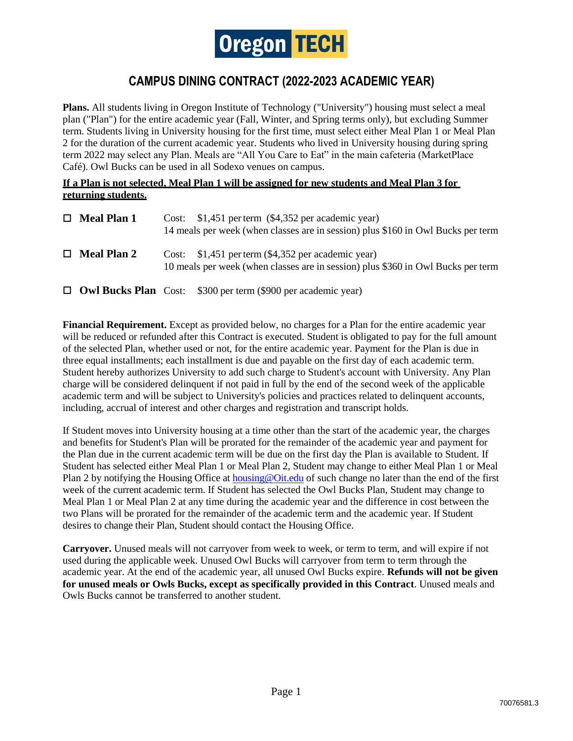

## **CAMPUS DINING CONTRACT (2022-2023 ACADEMIC YEAR)**

**Plans.** All students living in Oregon Institute of Technology ("University") housing must select a meal plan ("Plan") for the entire academic year (Fall, Winter, and Spring terms only), but excluding Summer term. Students living in University housing for the first time, must select either Meal Plan 1 or Meal Plan 2 for the duration of the current academic year. Students who lived in University housing during spring term 2022 may select any Plan. Meals are "All You Care to Eat" in the main cafeteria (MarketPlace Café). Owl Bucks can be used in all Sodexo venues on campus.

## **If a Plan is not selected, Meal Plan 1 will be assigned for new students and Meal Plan 3 for returning students.**

| $\Box$ Meal Plan 1 | Cost: $$1,451$ per term $($4,352$ per academic year)<br>14 meals per week (when classes are in session) plus \$160 in Owl Bucks per term |
|--------------------|------------------------------------------------------------------------------------------------------------------------------------------|
| $\Box$ Meal Plan 2 | Cost: \$1,451 per term (\$4,352 per academic year)<br>10 meals per week (when classes are in session) plus \$360 in Owl Bucks per term   |
|                    | $\Box$ Owl Bucks Plan Cost: \$300 per term (\$900 per academic year)                                                                     |

**Financial Requirement.** Except as provided below, no charges for a Plan for the entire academic year will be reduced or refunded after this Contract is executed. Student is obligated to pay for the full amount of the selected Plan, whether used or not, for the entire academic year. Payment for the Plan is due in three equal installments; each installment is due and payable on the first day of each academic term. Student hereby authorizes University to add such charge to Student's account with University. Any Plan charge will be considered delinquent if not paid in full by the end of the second week of the applicable academic term and will be subject to University's policies and practices related to delinquent accounts, including, accrual of interest and other charges and registration and transcript holds.

If Student moves into University housing at a time other than the start of the academic year, the charges and benefits for Student's Plan will be prorated for the remainder of the academic year and payment for the Plan due in the current academic term will be due on the first day the Plan is available to Student. If Student has selected either Meal Plan 1 or Meal Plan 2, Student may change to either Meal Plan 1 or Meal Plan 2 by notifying the Housing Office at housing @Oit.edu of such change no later than the end of the first week of the current academic term. If Student has selected the Owl Bucks Plan, Student may change to Meal Plan 1 or Meal Plan 2 at any time during the academic year and the difference in cost between the two Plans will be prorated for the remainder of the academic term and the academic year. If Student desires to change their Plan, Student should contact the Housing Office.

**Carryover.** Unused meals will not carryover from week to week, or term to term, and will expire if not used during the applicable week. Unused Owl Bucks will carryover from term to term through the academic year. At the end of the academic year, all unused Owl Bucks expire. **Refunds will not be given for unused meals or Owls Bucks, except as specifically provided in this Contract**. Unused meals and Owls Bucks cannot be transferred to another student.